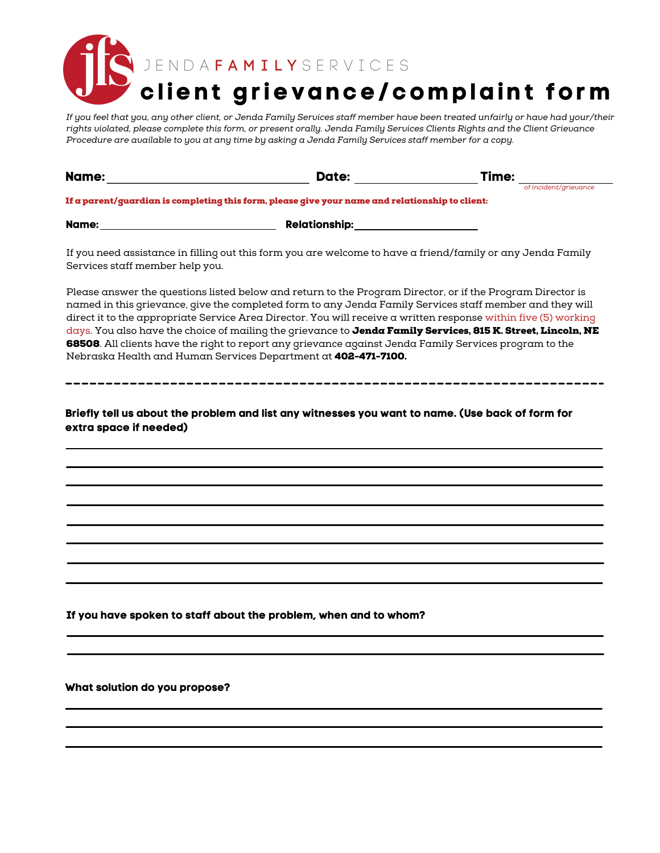**cl ient gr ievance/complaint form** J E N D A F A M I L Y S E R V I C E S

If you feel that you, any other client, or Jenda Family Services staff member have been treated unfairly or have had your/their rights violated, please complete this form, or present orally. Jenda Family Services Clients Rights and the Client Grievance Procedure are available to you at any time by asking a Jenda Family Services staff member for a copy.

| Name:                           | Date:                                                                                                                                                                                                                  | Time:                 |
|---------------------------------|------------------------------------------------------------------------------------------------------------------------------------------------------------------------------------------------------------------------|-----------------------|
|                                 |                                                                                                                                                                                                                        | of incident/grievance |
|                                 | If a parent/guardian is completing this form, please give your name and relationship to client:                                                                                                                        |                       |
| Name:                           | Relationship:________________                                                                                                                                                                                          |                       |
| Services staff member help you. | If you need assistance in filling out this form you are welcome to have a friend/family or any Jenda Family                                                                                                            |                       |
|                                 | Please answer the questions listed below and return to the Program Director, or if the Program Director is<br>named in this orievance, oive the completed form to any Jenda Family Services staff member and they will |                       |

named in this grievance, give the completed form to any Jenda Family Services staff member and they will direct it to the appropriate Service Area Director. You will receive a written response within five (5) working days. You also have the choice of mailing the grievance to Jenda Family Services, 815 K. Street, Lincoln, NE 68508. All clients have the right to report any grievance against Jenda Family Services program to the Nebraska Health and Human Services Department at 402-471-7100.

Briefly tell us about the problem and list any witnesses you want to name. (Use back of form for **extra space if needed)**

**If you have spoken to staff about the problem, when and to whom?**

**What solution do you propose?**